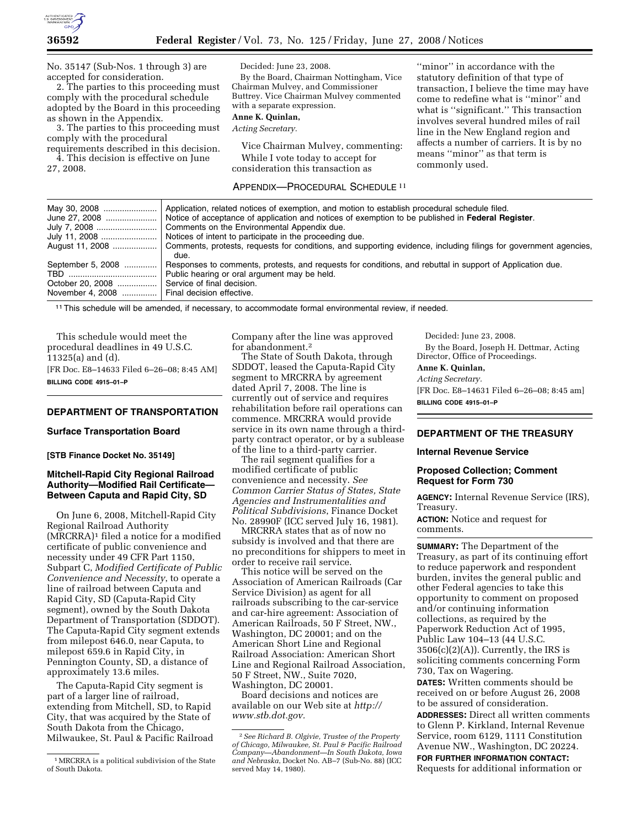

By the Board, Chairman Nottingham, Vice Chairman Mulvey, and Commissioner Buttrey. Vice Chairman Mulvey commented

Decided: June 23, 2008.

with a separate expression.

**Anne K. Quinlan,**  *Acting Secretary.* 

No. 35147 (Sub-Nos. 1 through 3) are accepted for consideration.

2. The parties to this proceeding must comply with the procedural schedule adopted by the Board in this proceeding as shown in the Appendix.

3. The parties to this proceeding must comply with the procedural requirements described in this decision.

4. This decision is effective on June 27, 2008.

### APPENDIX—PROCEDURAL SCHEDULE 11

Vice Chairman Mulvey, commenting: While I vote today to accept for consideration this transaction as

''minor'' in accordance with the statutory definition of that type of transaction, I believe the time may have come to redefine what is ''minor'' and what is ''significant.'' This transaction involves several hundred miles of rail line in the New England region and affects a number of carriers. It is by no means ''minor'' as that term is commonly used.

|                                                                                             | August 11, 2008    Comments, protests, requests for conditions, and supporting evidence, including filings for government agencies,<br>due. |
|---------------------------------------------------------------------------------------------|---------------------------------------------------------------------------------------------------------------------------------------------|
| September 5, 2008                                                                           | Responses to comments, protests, and requests for conditions, and rebuttal in support of Application due.                                   |
| October 20, 2008  Service of final decision.<br>November 4, 2008  Final decision effective. |                                                                                                                                             |

11This schedule will be amended, if necessary, to accommodate formal environmental review, if needed.

This schedule would meet the procedural deadlines in 49 U.S.C. 11325(a) and (d). [FR Doc. E8–14633 Filed 6–26–08; 8:45 AM] **BILLING CODE 4915–01–P** 

# **DEPARTMENT OF TRANSPORTATION**

#### **Surface Transportation Board**

**[STB Finance Docket No. 35149]** 

## **Mitchell-Rapid City Regional Railroad Authority—Modified Rail Certificate— Between Caputa and Rapid City, SD**

On June 6, 2008, Mitchell-Rapid City Regional Railroad Authority (MRCRRA)1 filed a notice for a modified certificate of public convenience and necessity under 49 CFR Part 1150, Subpart C, *Modified Certificate of Public Convenience and Necessity*, to operate a line of railroad between Caputa and Rapid City, SD (Caputa-Rapid City segment), owned by the South Dakota Department of Transportation (SDDOT). The Caputa-Rapid City segment extends from milepost 646.0, near Caputa, to milepost 659.6 in Rapid City, in Pennington County, SD, a distance of approximately 13.6 miles.

The Caputa-Rapid City segment is part of a larger line of railroad, extending from Mitchell, SD, to Rapid City, that was acquired by the State of South Dakota from the Chicago, Milwaukee, St. Paul & Pacific Railroad Company after the line was approved for abandonment.2

The State of South Dakota, through SDDOT, leased the Caputa-Rapid City segment to MRCRRA by agreement dated April 7, 2008. The line is currently out of service and requires rehabilitation before rail operations can commence. MRCRRA would provide service in its own name through a thirdparty contract operator, or by a sublease of the line to a third-party carrier.

The rail segment qualifies for a modified certificate of public convenience and necessity. *See Common Carrier Status of States, State Agencies and Instrumentalities and Political Subdivisions*, Finance Docket No. 28990F (ICC served July 16, 1981).

MRCRRA states that as of now no subsidy is involved and that there are no preconditions for shippers to meet in order to receive rail service.

This notice will be served on the Association of American Railroads (Car Service Division) as agent for all railroads subscribing to the car-service and car-hire agreement: Association of American Railroads, 50 F Street, NW., Washington, DC 20001; and on the American Short Line and Regional Railroad Association: American Short Line and Regional Railroad Association, 50 F Street, NW., Suite 7020, Washington, DC 20001.

Board decisions and notices are available on our Web site at *http:// www.stb.dot.gov.* 

Decided: June 23, 2008. By the Board, Joseph H. Dettmar, Acting Director, Office of Proceedings.

# **Anne K. Quinlan,**

*Acting Secretary.* 

[FR Doc. E8–14631 Filed 6–26–08; 8:45 am] **BILLING CODE 4915–01–P** 

# **DEPARTMENT OF THE TREASURY**

### **Internal Revenue Service**

### **Proposed Collection; Comment Request for Form 730**

**AGENCY:** Internal Revenue Service (IRS), Treasury.

**ACTION:** Notice and request for comments.

**SUMMARY:** The Department of the Treasury, as part of its continuing effort to reduce paperwork and respondent burden, invites the general public and other Federal agencies to take this opportunity to comment on proposed and/or continuing information collections, as required by the Paperwork Reduction Act of 1995, Public Law 104–13 (44 U.S.C.  $3506(c)(2)(A)$ . Currently, the IRS is soliciting comments concerning Form 730, Tax on Wagering.

**DATES:** Written comments should be received on or before August 26, 2008 to be assured of consideration.

**ADDRESSES:** Direct all written comments to Glenn P. Kirkland, Internal Revenue Service, room 6129, 1111 Constitution Avenue NW., Washington, DC 20224.

**FOR FURTHER INFORMATION CONTACT:** 

Requests for additional information or

<sup>1</sup>MRCRRA is a political subdivision of the State of South Dakota.

<sup>2</sup>*See Richard B. Olgivie, Trustee of the Property of Chicago, Milwaukee, St. Paul & Pacific Railroad Company—Abandonment—In South Dakota, Iowa and Nebraska*, Docket No. AB–7 (Sub-No. 88) (ICC served May 14, 1980).